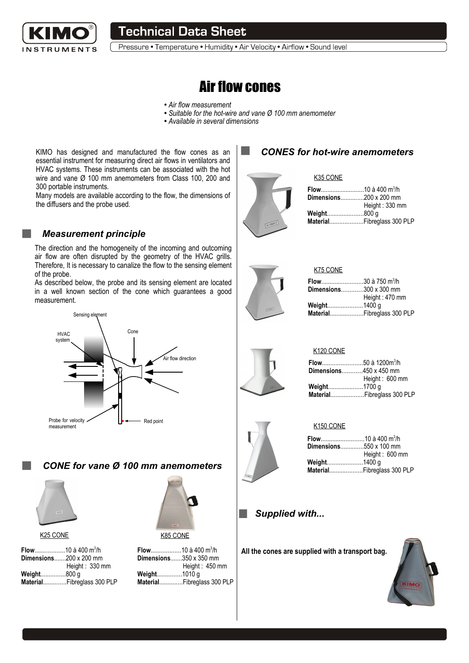

# **Technical Data Sheet**

Pressure • Temperature • Humidity • Air Velocity • Airflow • Sound level

# Air flow cones

- *Air flow measurement*
- *Suitable for the hot-wire and vane Ø 100 mm anemometer*
- *Available in several dimensions*

KIMO has designed and manufactured the flow cones as an essential instrument for measuring direct air flows in ventilators and HVAC systems. These instruments can be associated with the hot wire and vane Ø 100 mm anemometers from Class 100, 200 and 300 portable instruments.

Many models are available according to the flow, the dimensions of the diffusers and the probe used.

### *Measurement principle*

The direction and the homogeneity of the incoming and outcoming air flow are often disrupted by the geometry of the HVAC grills. Therefore, It is necessary to canalize the flow to the sensing element of the probe.

As described below, the probe and its sensing element are located in a well known section of the cone which guarantees a good measurement.



### *CONE for vane Ø 100 mm anemometers*



K25 CONE

| Flow10 à 400 m <sup>3</sup> /h |                            |
|--------------------------------|----------------------------|
| <b>Dimensions200 x 200 mm</b>  |                            |
|                                | Height: 330 mm             |
| Weight800 q                    |                            |
|                                | MaterialFibreglass 300 PLP |



K85 CONE

|                     | Flow10 à 400 m <sup>3</sup> /h |
|---------------------|--------------------------------|
|                     | <b>Dimensions350 x 350 mm</b>  |
|                     | Height: 450 mm                 |
| <b>Weight1010 g</b> |                                |
|                     | MaterialFibreglass 300 PLP     |
|                     |                                |

### *CONES for hot-wire anemometers*

K35 CONE

| KIMO |
|------|
|      |

| <b>Flow</b> 10 à 400 m <sup>3</sup> /h |                            |
|----------------------------------------|----------------------------|
| <b>Dimensions200 x 200 mm</b>          |                            |
|                                        | Height: 330 mm             |
| <b>Weight</b> 800 g                    |                            |
|                                        | MaterialFibreglass 300 PLP |
|                                        |                            |

| KIMO |
|------|

| K75 CONE             |                                |
|----------------------|--------------------------------|
|                      | Flow30 à 750 m <sup>3</sup> /h |
|                      | <b>Dimensions300 x 300 mm</b>  |
|                      | Height: 470 mm                 |
| <b>Weight</b> 1400 g |                                |
|                      | MaterialFibreglass 300 PLP     |

#### K120 CONE

| <b>Dimensions450 x 450 mm</b> |                            |
|-------------------------------|----------------------------|
|                               | Height: 600 mm             |
| Weight1700 g                  |                            |
|                               | MaterialFibreglass 300 PLP |

#### K150 CONE

| <b>Dimensions550 x 100 mm</b> |                            |
|-------------------------------|----------------------------|
|                               | Height: 600 mm             |
| <b>Weight1400 g</b>           |                            |
|                               | MaterialFibreglass 300 PLP |
|                               |                            |

### *Supplied with...*

**All the cones are supplied with a transport bag.**